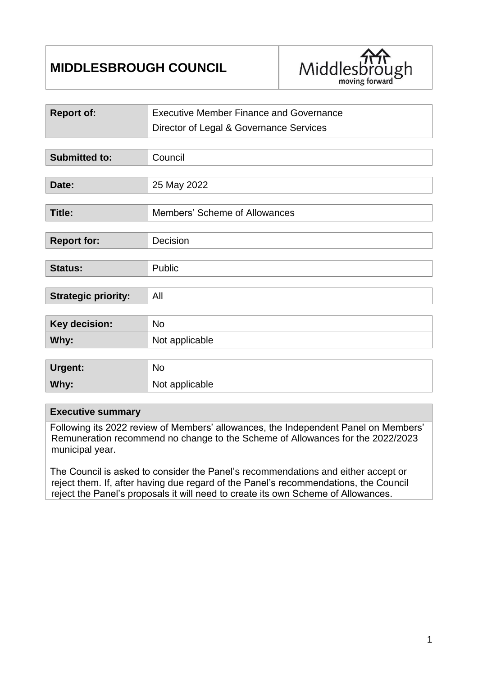# **MIDDLESBROUGH COUNCIL**



| <b>Report of:</b>          | <b>Executive Member Finance and Governance</b> |  |
|----------------------------|------------------------------------------------|--|
|                            | Director of Legal & Governance Services        |  |
|                            |                                                |  |
| <b>Submitted to:</b>       | Council                                        |  |
|                            |                                                |  |
| Date:                      | 25 May 2022                                    |  |
|                            |                                                |  |
| <b>Title:</b>              | Members' Scheme of Allowances                  |  |
|                            |                                                |  |
| <b>Report for:</b>         | Decision                                       |  |
|                            |                                                |  |
| Status:                    | Public                                         |  |
|                            |                                                |  |
| <b>Strategic priority:</b> | All                                            |  |
|                            |                                                |  |
| Key decision:              | <b>No</b>                                      |  |
| Why:                       | Not applicable                                 |  |
|                            |                                                |  |
| <b>Urgent:</b>             | <b>No</b>                                      |  |
| Why:                       | Not applicable                                 |  |

#### **Executive summary**

Following its 2022 review of Members' allowances, the Independent Panel on Members' Remuneration recommend no change to the Scheme of Allowances for the 2022/2023 municipal year.

The Council is asked to consider the Panel's recommendations and either accept or reject them. If, after having due regard of the Panel's recommendations, the Council reject the Panel's proposals it will need to create its own Scheme of Allowances.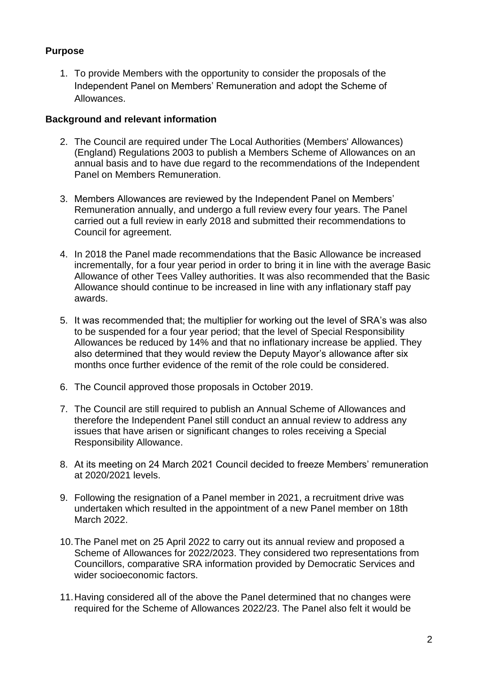## **Purpose**

1. To provide Members with the opportunity to consider the proposals of the Independent Panel on Members' Remuneration and adopt the Scheme of Allowances.

## **Background and relevant information**

- 2. The Council are required under The Local Authorities (Members' Allowances) (England) Regulations 2003 to publish a Members Scheme of Allowances on an annual basis and to have due regard to the recommendations of the Independent Panel on Members Remuneration.
- 3. Members Allowances are reviewed by the Independent Panel on Members' Remuneration annually, and undergo a full review every four years. The Panel carried out a full review in early 2018 and submitted their recommendations to Council for agreement.
- 4. In 2018 the Panel made recommendations that the Basic Allowance be increased incrementally, for a four year period in order to bring it in line with the average Basic Allowance of other Tees Valley authorities. It was also recommended that the Basic Allowance should continue to be increased in line with any inflationary staff pay awards.
- 5. It was recommended that; the multiplier for working out the level of SRA's was also to be suspended for a four year period; that the level of Special Responsibility Allowances be reduced by 14% and that no inflationary increase be applied. They also determined that they would review the Deputy Mayor's allowance after six months once further evidence of the remit of the role could be considered.
- 6. The Council approved those proposals in October 2019.
- 7. The Council are still required to publish an Annual Scheme of Allowances and therefore the Independent Panel still conduct an annual review to address any issues that have arisen or significant changes to roles receiving a Special Responsibility Allowance.
- 8. At its meeting on 24 March 2021 Council decided to freeze Members' remuneration at 2020/2021 levels.
- 9. Following the resignation of a Panel member in 2021, a recruitment drive was undertaken which resulted in the appointment of a new Panel member on 18th March 2022.
- 10.The Panel met on 25 April 2022 to carry out its annual review and proposed a Scheme of Allowances for 2022/2023. They considered two representations from Councillors, comparative SRA information provided by Democratic Services and wider socioeconomic factors.
- 11.Having considered all of the above the Panel determined that no changes were required for the Scheme of Allowances 2022/23. The Panel also felt it would be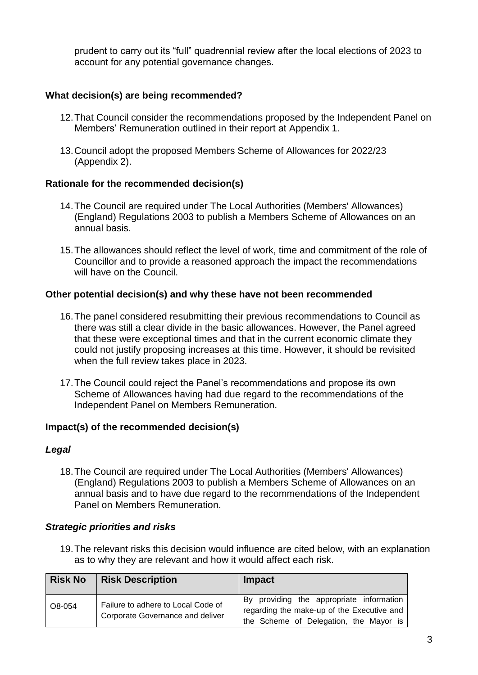prudent to carry out its "full" quadrennial review after the local elections of 2023 to account for any potential governance changes.

## **What decision(s) are being recommended?**

- 12.That Council consider the recommendations proposed by the Independent Panel on Members' Remuneration outlined in their report at Appendix 1.
- 13.Council adopt the proposed Members Scheme of Allowances for 2022/23 (Appendix 2).

## **Rationale for the recommended decision(s)**

- 14.The Council are required under The Local Authorities (Members' Allowances) (England) Regulations 2003 to publish a Members Scheme of Allowances on an annual basis.
- 15.The allowances should reflect the level of work, time and commitment of the role of Councillor and to provide a reasoned approach the impact the recommendations will have on the Council.

### **Other potential decision(s) and why these have not been recommended**

- 16.The panel considered resubmitting their previous recommendations to Council as there was still a clear divide in the basic allowances. However, the Panel agreed that these were exceptional times and that in the current economic climate they could not justify proposing increases at this time. However, it should be revisited when the full review takes place in 2023.
- 17.The Council could reject the Panel's recommendations and propose its own Scheme of Allowances having had due regard to the recommendations of the Independent Panel on Members Remuneration.

## **Impact(s) of the recommended decision(s)**

#### *Legal*

18.The Council are required under The Local Authorities (Members' Allowances) (England) Regulations 2003 to publish a Members Scheme of Allowances on an annual basis and to have due regard to the recommendations of the Independent Panel on Members Remuneration.

#### *Strategic priorities and risks*

19.The relevant risks this decision would influence are cited below, with an explanation as to why they are relevant and how it would affect each risk.

| <b>Risk No</b> | <b>Risk Description</b>                                                | <b>Impact</b>                                                                                                                    |
|----------------|------------------------------------------------------------------------|----------------------------------------------------------------------------------------------------------------------------------|
| O8-054         | Failure to adhere to Local Code of<br>Corporate Governance and deliver | By providing the appropriate information<br>regarding the make-up of the Executive and<br>the Scheme of Delegation, the Mayor is |